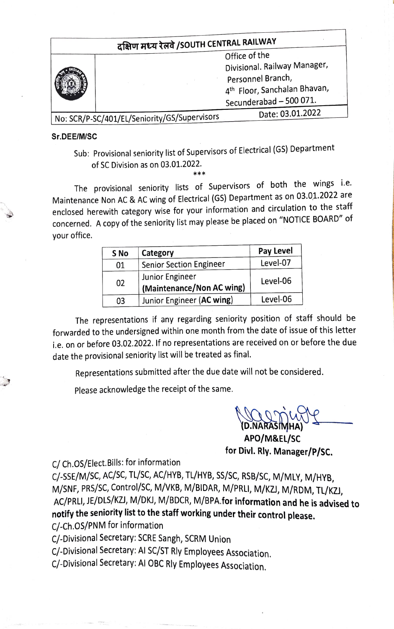| दक्षिण मध्य रेलवे /SOUTH CENTRAL RAILWAY     |  |                                          |  |  |  |
|----------------------------------------------|--|------------------------------------------|--|--|--|
|                                              |  | Office of the                            |  |  |  |
|                                              |  | Divisional. Railway Manager,             |  |  |  |
|                                              |  | Personnel Branch,                        |  |  |  |
|                                              |  | 4 <sup>th</sup> Floor, Sanchalan Bhavan, |  |  |  |
|                                              |  | Secunderabad - 500 071.                  |  |  |  |
|                                              |  | Date: 03.01.2022                         |  |  |  |
| No: SCR/P-SC/401/EL/Seniority/GS/Supervisors |  |                                          |  |  |  |

## Sr.DEE/M/SC

Sub: Provisional seniority list of Supervisors of Electrical (GS) Department of SC Division as on 03.01.2022.

\*\*\*

The provisional seniority lists of Supervisors of both the wings i.e. Maintenance Non AC & AC wing of Electrical (GS) Department as on 03.01.2022 are enclosed herewith category wise for your information and circulation to the staff concerned. A copy of the seniority list may please be placed on "NOTICE BOARD" of your office.

|    |                                              | Pay Level |  |
|----|----------------------------------------------|-----------|--|
| 01 | <b>Senior Section Engineer</b>               | Level-07  |  |
| 02 | Junior Engineer<br>(Maintenance/Non AC wing) | Level-06  |  |
| 03 | Junior Engineer (AC wing)                    | Level-06  |  |

The representations if any regarding seniority position of staff should be forwarded to the undersigned within one month from the date of issue of this letter i.e. on or before 03.02.2022. If no representations are received on or before the due date the provisional seniority list will be treated as final.

Representations submitted after the due date will not be considered.

Please acknowledge the receipt of the same.

YD.NARASIMHA) APO/M&EL/sC for Divl. Rly. Manager/P/sc.

C/ Ch.O5/Elect. Bills: for information

c/-SSE/M/SC, AC/SC, TU/SC, AC/HYB, TL/HY8, SS/SC, RSB/SC, M/MLY, M/HYB M/SNE, PRS/SC, Control/SC, M/VKB, M/BIDAR, M/PRLI, M/KZ), M/RDM, TL/KZI, AC/PRLI, JE/DLS/KZI, M/DKI, M/BDCR, M/BPA.for information and he is advised to notify the seniority list to the staff working under their control please. C/-Ch.0S/PNM for information

C/-Divisional Secretary: SCRE Sangh, SCRM Union

C/-Divisional Secretary: AI SC/ST Rly Employees Association.

C/-Divisional Secretary: Al OBC Rly Employees Association.